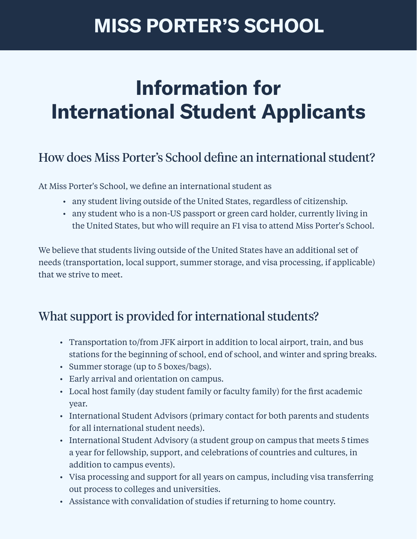# **MISS PORTER'S SCHOOL**

# **Information for International Student Applicants**

# How does Miss Porter's School define an international student?

At Miss Porter's School, we define an international student as

- any student living outside of the United States, regardless of citizenship.
- any student who is a non-US passport or green card holder, currently living in the United States, but who will require an F1 visa to attend Miss Porter's School.

We believe that students living outside of the United States have an additional set of needs (transportation, local support, summer storage, and visa processing, if applicable) that we strive to meet.

# What support is provided for international students?

- Transportation to/from JFK airport in addition to local airport, train, and bus stations for the beginning of school, end of school, and winter and spring breaks.
- Summer storage (up to 5 boxes/bags).
- Early arrival and orientation on campus.
- Local host family (day student family or faculty family) for the first academic year.
- International Student Advisors (primary contact for both parents and students for all international student needs).
- International Student Advisory (a student group on campus that meets 5 times a year for fellowship, support, and celebrations of countries and cultures, in addition to campus events).
- Visa processing and support for all years on campus, including visa transferring out process to colleges and universities.
- Assistance with convalidation of studies if returning to home country.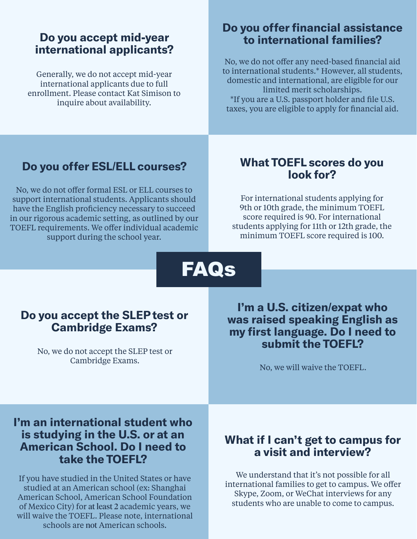#### **Do you accept mid**-**year international applicants?**

Generally, we do not accept mid-year international applicants due to full enrollment. Please contact Kat Simison to inquire about availability.

#### **Do you offer financial assistance to international families?**

No, we do not offer any need-based financial aid to international students.\* However, all students, domestic and international, are eligible for our limited merit scholarships. \*If you are a U.S. passport holder and file U.S. taxes, you are eligible to apply for financial aid.

No, we do not offer formal ESL or ELL courses to support international students. Applicants should have the English proficiency necessary to succeed in our rigorous academic setting, as outlined by our TOEFL requirements. We offer individual academic support during the school year.

### **Do you offer ESL**/**ELL courses? What TOEFL scores do you look for?**

For international students applying for 9th or 10th grade, the minimum TOEFL score required is 90. For international students applying for 11th or 12th grade, the minimum TOEFL score required is 100.

FAQs

#### **Do you accept the SLEP test or Cambridge Exams?**

No, we do not accept the SLEP test or Cambridge Exams. The Cambridge Exams.

**I'm a U.S. citizen**/**expat who was raised speaking English as my first language. Do I need to submit the TOEFL?**

### **I'm an international student who is studying in the U.S. or at an American School. Do I need to take the TOEFL?**

If you have studied in the United States or have studied at an American school (ex: Shanghai American School, American School Foundation of Mexico City) for at least 2 academic years, we will waive the TOEFL. Please note, international schools are not American schools.

#### **What if I can't get to campus for a visit and interview?**

We understand that it's not possible for all international families to get to campus. We offer Skype, Zoom, or WeChat interviews for any students who are unable to come to campus.